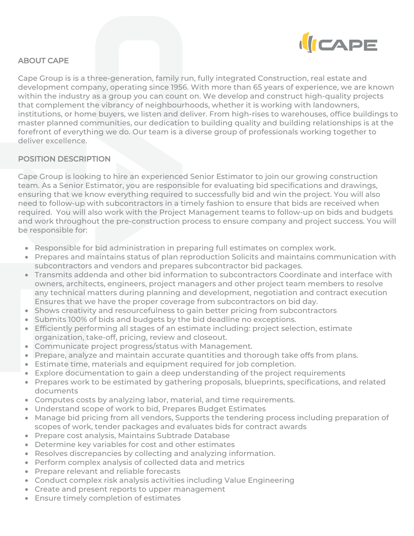

# ABOUT CAPE

Cape Group is is a three-generation, family run, fully integrated Construction, real estate and development company, operating since 1956. With more than 65 years of experience, we are known within the industry as a group you can count on. We develop and construct high-quality projects that complement the vibrancy of neighbourhoods, whether it is working with landowners, institutions, or home buyers, we listen and deliver. From high-rises to warehouses, office buildings to master planned communities, our dedication to building quality and building relationships is at the forefront of everything we do. Our team is a diverse group of professionals working together to deliver excellence.

### POSITION DESCRIPTION

Cape Group is looking to hire an experienced Senior Estimator to join our growing construction team. As a Senior Estimator, you are responsible for evaluating bid specifications and drawings, ensuring that we know everything required to successfully bid and win the project. You will also need to follow-up with subcontractors in a timely fashion to ensure that bids are received when required. You will also work with the Project Management teams to follow-up on bids and budgets and work throughout the pre-construction process to ensure company and project success. You will be responsible for:

- Responsible for bid administration in preparing full estimates on complex work.
- Prepares and maintains status of plan reproduction Solicits and maintains communication with subcontractors and vendors and prepares subcontractor bid packages.
- Transmits addenda and other bid information to subcontractors Coordinate and interface with owners, architects, engineers, project managers and other project team members to resolve any technical matters during planning and development, negotiation and contract execution Ensures that we have the proper coverage from subcontractors on bid day.
- Shows creativity and resourcefulness to gain better pricing from subcontractors
- Submits 100% of bids and budgets by the bid deadline no exceptions.
- Efficiently performing all stages of an estimate including: project selection, estimate organization, take-off, pricing, review and closeout.
- Communicate project progress/status with Management.
- Prepare, analyze and maintain accurate quantities and thorough take offs from plans.
- Estimate time, materials and equipment required for job completion.
- Explore documentation to gain a deep understanding of the project requirements
- Prepares work to be estimated by gathering proposals, blueprints, specifications, and related documents
- Computes costs by analyzing labor, material, and time requirements.
- Understand scope of work to bid, Prepares Budget Estimates
- Manage bid pricing from all vendors, Supports the tendering process including preparation of scopes of work, tender packages and evaluates bids for contract awards
- Prepare cost analysis, Maintains Subtrade Database
- Determine key variables for cost and other estimates
- Resolves discrepancies by collecting and analyzing information.
- Perform complex analysis of collected data and metrics
- Prepare relevant and reliable forecasts
- Conduct complex risk analysis activities including Value Engineering
- Create and present reports to upper management
- Ensure timely completion of estimates